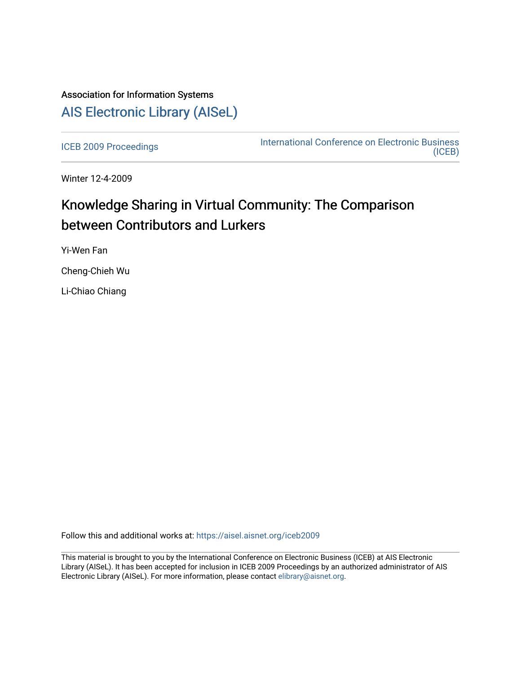## Association for Information Systems [AIS Electronic Library \(AISeL\)](https://aisel.aisnet.org/)

[ICEB 2009 Proceedings](https://aisel.aisnet.org/iceb2009) **International Conference on Electronic Business** [\(ICEB\)](https://aisel.aisnet.org/iceb) 

Winter 12-4-2009

# Knowledge Sharing in Virtual Community: The Comparison between Contributors and Lurkers

Yi-Wen Fan

Cheng-Chieh Wu

Li-Chiao Chiang

Follow this and additional works at: [https://aisel.aisnet.org/iceb2009](https://aisel.aisnet.org/iceb2009?utm_source=aisel.aisnet.org%2Ficeb2009%2F97&utm_medium=PDF&utm_campaign=PDFCoverPages)

This material is brought to you by the International Conference on Electronic Business (ICEB) at AIS Electronic Library (AISeL). It has been accepted for inclusion in ICEB 2009 Proceedings by an authorized administrator of AIS Electronic Library (AISeL). For more information, please contact [elibrary@aisnet.org.](mailto:elibrary@aisnet.org%3E)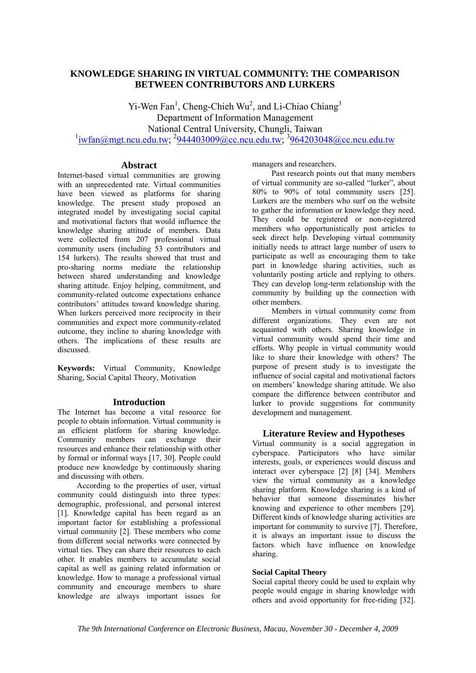### **KNOWLEDGE SHARING IN VIRTUAL COMMUNITY: THE COMPARISON BETWEEN CONTRIBUTORS AND LURKERS**

Yi-Wen  $Fan<sup>1</sup>$ , Cheng-Chieh Wu<sup>2</sup>, and Li-Chiao Chiang<sup>3</sup> Department of Information Management National Central University, Chungli, Taiwan  $\frac{1}{1}$ iwfan@mgt.ncu.edu.tw;  $\frac{2944403009$ @cc.ncu.edu.tw;  $\frac{3964203048$ @cc.ncu.edu.tw

#### **Abstract**

Internet-based virtual communities are growing with an unprecedented rate. Virtual communities have been viewed as platforms for sharing knowledge. The present study proposed an integrated model by investigating social capital and motivational factors that would influence the knowledge sharing attitude of members. Data were collected from 207 professional virtual community users (including 53 contributors and 154 lurkers). The results showed that trust and pro-sharing norms mediate the relationship between shared understanding and knowledge sharing attitude. Enjoy helping, commitment, and community-related outcome expectations enhance contributors' attitudes toward knowledge sharing. When lurkers perceived more reciprocity in their communities and expect more community-related outcome, they incline to sharing knowledge with others. The implications of these results are discussed.

**Keywords:** Virtual Community, Knowledge Sharing, Social Capital Theory, Motivation

#### **Introduction**

The Internet has become a vital resource for people to obtain information. Virtual community is an efficient platform for sharing knowledge. Community members can exchange their resources and enhance their relationship with other by formal or informal ways [17, 30]. People could produce new knowledge by continuously sharing and discussing with others.

According to the properties of user, virtual community could distinguish into three types: demographic, professional, and personal interest [1]. Knowledge capital has been regard as an important factor for establishing a professional virtual community [2]. These members who come from different social networks were connected by virtual ties. They can share their resources to each other. It enables members to accumulate social capital as well as gaining related information or knowledge. How to manage a professional virtual community and encourage members to share knowledge are always important issues for managers and researchers.

Past research points out that many members of virtual community are so-called "lurker", about 80% to 90% of total community users [25]. Lurkers are the members who surf on the website to gather the information or knowledge they need. They could be registered or non-registered members who opportunistically post articles to seek direct help. Developing virtual community initially needs to attract large number of users to participate as well as encouraging them to take part in knowledge sharing activities, such as voluntarily posting article and replying to others. They can develop long-term relationship with the community by building up the connection with other members.

Members in virtual community come from different organizations. They even are not acquainted with others. Sharing knowledge in virtual community would spend their time and efforts. Why people in virtual community would like to share their knowledge with others? The purpose of present study is to investigate the influence of social capital and motivational factors on members' knowledge sharing attitude. We also compare the difference between contributor and lurker to provide suggestions for community development and management.

#### **Literature Review and Hypotheses**

Virtual community is a social aggregation in cyberspace. Participators who have similar interests, goals, or experiences would discuss and interact over cyberspace [2] [8] [34]. Members view the virtual community as a knowledge sharing platform. Knowledge sharing is a kind of behavior that someone disseminates his/her knowing and experience to other members [29]. Different kinds of knowledge sharing activities are important for community to survive [7]. Therefore, it is always an important issue to discuss the factors which have influence on knowledge sharing.

#### **Social Capital Theory**

Social capital theory could be used to explain why people would engage in sharing knowledge with others and avoid opportunity for free-riding [32].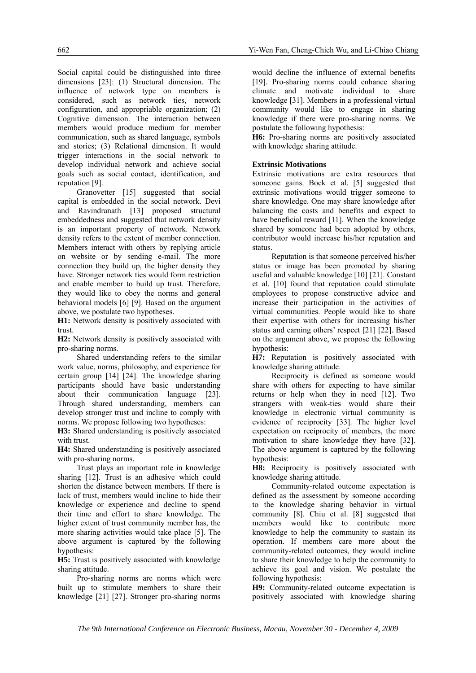Social capital could be distinguished into three dimensions [23]: (1) Structural dimension. The influence of network type on members is considered, such as network ties, network configuration, and appropriable organization; (2) Cognitive dimension. The interaction between members would produce medium for member communication, such as shared language, symbols and stories; (3) Relational dimension. It would trigger interactions in the social network to develop individual network and achieve social goals such as social contact, identification, and reputation [9].

Granovetter [15] suggested that social capital is embedded in the social network. Devi and Ravindranath [13] proposed structural embeddedness and suggested that network density is an important property of network. Network density refers to the extent of member connection. Members interact with others by replying article on website or by sending e-mail. The more connection they build up, the higher density they have. Stronger network ties would form restriction and enable member to build up trust. Therefore, they would like to obey the norms and general behavioral models [6] [9]. Based on the argument above, we postulate two hypotheses.

**H1:** Network density is positively associated with trust.

**H2:** Network density is positively associated with pro-sharing norms.

Shared understanding refers to the similar work value, norms, philosophy, and experience for certain group [14] [24]. The knowledge sharing participants should have basic understanding about their communication language [23]. Through shared understanding, members can develop stronger trust and incline to comply with norms. We propose following two hypotheses:

**H3:** Shared understanding is positively associated with trust.

**H4:** Shared understanding is positively associated with pro-sharing norms.

Trust plays an important role in knowledge sharing [12]. Trust is an adhesive which could shorten the distance between members. If there is lack of trust, members would incline to hide their knowledge or experience and decline to spend their time and effort to share knowledge. The higher extent of trust community member has, the more sharing activities would take place [5]. The above argument is captured by the following hypothesis:

**H5:** Trust is positively associated with knowledge sharing attitude.

Pro-sharing norms are norms which were built up to stimulate members to share their knowledge [21] [27]. Stronger pro-sharing norms

would decline the influence of external benefits [19]. Pro-sharing norms could enhance sharing climate and motivate individual to share knowledge [31]. Members in a professional virtual community would like to engage in sharing knowledge if there were pro-sharing norms. We postulate the following hypothesis:

**H6:** Pro-sharing norms are positively associated with knowledge sharing attitude.

#### **Extrinsic Motivations**

Extrinsic motivations are extra resources that someone gains. Bock et al. [5] suggested that extrinsic motivations would trigger someone to share knowledge. One may share knowledge after balancing the costs and benefits and expect to have beneficial reward [11]. When the knowledge shared by someone had been adopted by others, contributor would increase his/her reputation and status.

Reputation is that someone perceived his/her status or image has been promoted by sharing useful and valuable knowledge [10] [21]. Constant et al. [10] found that reputation could stimulate employees to propose constructive advice and increase their participation in the activities of virtual communities. People would like to share their expertise with others for increasing his/her status and earning others' respect [21] [22]. Based on the argument above, we propose the following hypothesis:

**H7:** Reputation is positively associated with knowledge sharing attitude.

Reciprocity is defined as someone would share with others for expecting to have similar returns or help when they in need [12]. Two strangers with weak-ties would share their knowledge in electronic virtual community is evidence of reciprocity [33]. The higher level expectation on reciprocity of members, the more motivation to share knowledge they have [32]. The above argument is captured by the following hypothesis:

**H8:** Reciprocity is positively associated with knowledge sharing attitude.

Community-related outcome expectation is defined as the assessment by someone according to the knowledge sharing behavior in virtual community [8]. Chiu et al. [8] suggested that members would like to contribute more knowledge to help the community to sustain its operation. If members care more about the community-related outcomes, they would incline to share their knowledge to help the community to achieve its goal and vision. We postulate the following hypothesis:

**H9:** Community-related outcome expectation is positively associated with knowledge sharing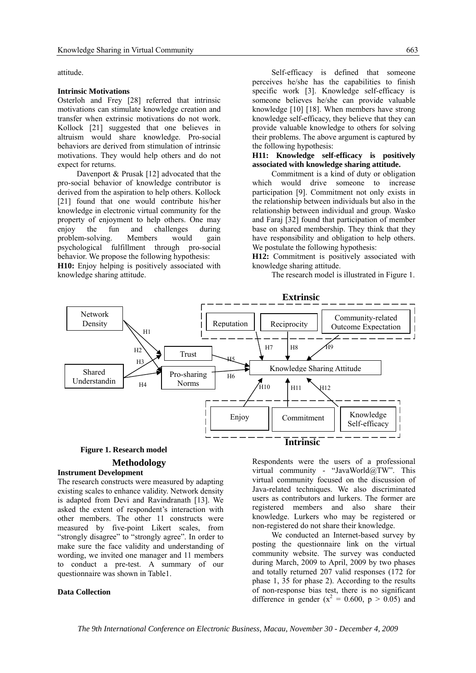attitude.

#### **Intrinsic Motivations**

Osterloh and Frey [28] referred that intrinsic motivations can stimulate knowledge creation and transfer when extrinsic motivations do not work. Kollock [21] suggested that one believes in altruism would share knowledge. Pro-social behaviors are derived from stimulation of intrinsic motivations. They would help others and do not expect for returns.

Davenport & Prusak [12] advocated that the pro-social behavior of knowledge contributor is derived from the aspiration to help others. Kollock [21] found that one would contribute his/her knowledge in electronic virtual community for the property of enjoyment to help others. One may enjoy the fun and challenges during problem-solving. Members would gain psychological fulfillment through pro-social behavior. We propose the following hypothesis:

**H10:** Enjoy helping is positively associated with knowledge sharing attitude.

Self-efficacy is defined that someone perceives he/she has the capabilities to finish specific work [3]. Knowledge self-efficacy is someone believes he/she can provide valuable knowledge [10] [18]. When members have strong knowledge self-efficacy, they believe that they can provide valuable knowledge to others for solving their problems. The above argument is captured by the following hypothesis:

#### **H11: Knowledge self-efficacy is positively associated with knowledge sharing attitude.**

Commitment is a kind of duty or obligation which would drive someone to increase participation [9]. Commitment not only exists in the relationship between individuals but also in the relationship between individual and group. Wasko and Faraj [32] found that participation of member base on shared membership. They think that they have responsibility and obligation to help others. We postulate the following hypothesis:

**H12:** Commitment is positively associated with knowledge sharing attitude.

The research model is illustrated in Figure 1.



### **Methodology Figure 1. Research model**

#### **Instrument Development**

The research constructs were measured by adapting existing scales to enhance validity. Network density is adapted from Devi and Ravindranath [13]. We asked the extent of respondent's interaction with other members. The other 11 constructs were measured by five-point Likert scales, from "strongly disagree" to "strongly agree". In order to make sure the face validity and understanding of wording, we invited one manager and 11 members to conduct a pre-test. A summary of our questionnaire was shown in Table1.

#### **Data Collection**

Respondents were the users of a professional virtual community - "JavaWorld@TW". This virtual community focused on the discussion of Java-related techniques. We also discriminated users as contributors and lurkers. The former are registered members and also share their knowledge. Lurkers who may be registered or non-registered do not share their knowledge.

We conducted an Internet-based survey by posting the questionnaire link on the virtual community website. The survey was conducted during March, 2009 to April, 2009 by two phases and totally returned 207 valid responses (172 for phase 1, 35 for phase 2). According to the results of non-response bias test, there is no significant difference in gender ( $x^2 = 0.600$ ,  $p > 0.05$ ) and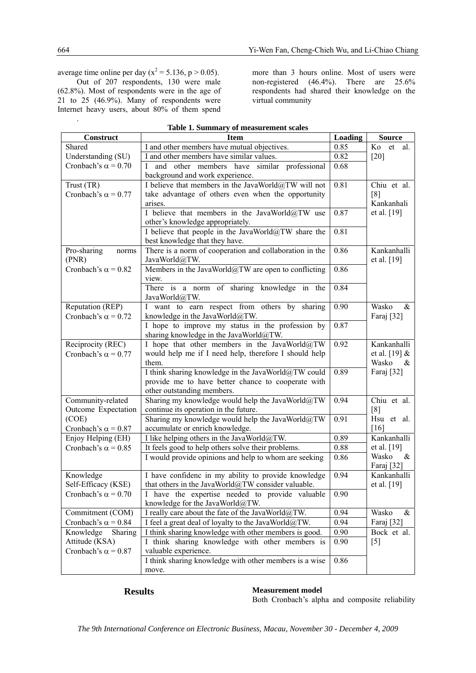average time online per day ( $x^2 = 5.136$ , p > 0.05).

Out of 207 respondents, 130 were male (62.8%). Most of respondents were in the age of 21 to 25 (46.9%). Many of respondents were Internet heavy users, about 80% of them spend more than 3 hours online. Most of users were non-registered (46.4%). There are 25.6% respondents had shared their knowledge on the virtual community

| Construct                  | <b>Item</b>                                                                        | Loading | <b>Source</b>   |  |  |  |
|----------------------------|------------------------------------------------------------------------------------|---------|-----------------|--|--|--|
| Shared                     | I and other members have mutual objectives.                                        | 0.85    | Ko<br>et<br>al. |  |  |  |
| Understanding (SU)         | I and other members have similar values.                                           | 0.82    | [20]            |  |  |  |
| Cronbach's $\alpha$ = 0.70 | and other members have similar professional                                        | 0.68    |                 |  |  |  |
|                            | background and work experience.                                                    | 0.81    | Chiu et al.     |  |  |  |
| Trust (TR)                 | I believe that members in the JavaWorld@TW will not                                |         |                 |  |  |  |
| Cronbach's $\alpha$ = 0.77 | take advantage of others even when the opportunity                                 |         | [8]             |  |  |  |
|                            | arises.                                                                            |         | Kankanhali      |  |  |  |
|                            | I believe that members in the JavaWorld@TW use                                     | 0.87    | et al. [19]     |  |  |  |
|                            | other's knowledge appropriately.                                                   |         |                 |  |  |  |
|                            | I believe that people in the JavaWorld@TW share the                                | 0.81    |                 |  |  |  |
|                            | best knowledge that they have.                                                     |         |                 |  |  |  |
| Pro-sharing<br>norms       | There is a norm of cooperation and collaboration in the                            | 0.86    | Kankanhalli     |  |  |  |
| (PNR)                      | JavaWorld@TW.                                                                      |         | et al. $[19]$   |  |  |  |
| Cronbach's $\alpha$ = 0.82 | Members in the JavaWorld@TW are open to conflicting                                | 0.86    |                 |  |  |  |
|                            | view.                                                                              |         |                 |  |  |  |
|                            | There is a norm of sharing knowledge in the                                        | 0.84    |                 |  |  |  |
|                            | JavaWorld@TW.                                                                      |         | Wasko<br>$\&$   |  |  |  |
| Reputation (REP)           | I want to earn respect from others by sharing                                      | 0.90    |                 |  |  |  |
| Cronbach's $\alpha$ = 0.72 | knowledge in the JavaWorld@TW.<br>I hope to improve my status in the profession by | 0.87    | Faraj [32]      |  |  |  |
|                            | sharing knowledge in the JavaWorld@TW.                                             |         |                 |  |  |  |
| Reciprocity (REC)          | I hope that other members in the JavaWorld@TW                                      | 0.92    | Kankanhalli     |  |  |  |
| Cronbach's $\alpha$ = 0.77 | would help me if I need help, therefore I should help                              |         | et al. $[19]$ & |  |  |  |
|                            | them.                                                                              |         | Wasko<br>&      |  |  |  |
|                            | I think sharing knowledge in the JavaWorld@TW could                                | 0.89    | Faraj [32]      |  |  |  |
|                            | provide me to have better chance to cooperate with                                 |         |                 |  |  |  |
|                            | other outstanding members.                                                         |         |                 |  |  |  |
| Community-related          | Sharing my knowledge would help the JavaWorld@TW                                   | 0.94    | Chiu et al.     |  |  |  |
| Outcome Expectation        | continue its operation in the future.                                              |         | [8]             |  |  |  |
| (COE)                      | Sharing my knowledge would help the JavaWorld@TW                                   | 0.91    | Hsu et al.      |  |  |  |
| Cronbach's $\alpha$ = 0.87 | accumulate or enrich knowledge.                                                    |         | [16]            |  |  |  |
| Enjoy Helping (EH)         | I like helping others in the JavaWorld@TW.                                         | 0.89    | Kankanhalli     |  |  |  |
| Cronbach's $\alpha$ = 0.85 | It feels good to help others solve their problems.                                 | 0.88    | et al. [19]     |  |  |  |
|                            | I would provide opinions and help to whom are seeking                              | 0.86    | $\&$<br>Wasko   |  |  |  |
|                            |                                                                                    |         | Faraj [32]      |  |  |  |
| Knowledge                  | I have confidenc in my ability to provide knowledge                                | 0.94    | Kankanhalli     |  |  |  |
| Self-Efficacy (KSE)        | that others in the JavaWorld@TW consider valuable.                                 |         | et al. [19]     |  |  |  |
| Cronbach's $\alpha$ = 0.70 | I have the expertise needed to provide valuable                                    | 0.90    |                 |  |  |  |
|                            | knowledge for the JavaWorld@TW.                                                    |         |                 |  |  |  |
| Commitment (COM)           | I really care about the fate of the JavaWorld@TW.                                  | 0.94    | Wasko<br>$\&$   |  |  |  |
| Cronbach's $\alpha$ = 0.84 | I feel a great deal of loyalty to the JavaWorld@TW.                                | 0.94    | Faraj [32]      |  |  |  |
| Knowledge<br>Sharing       | I think sharing knowledge with other members is good.                              | 0.90    | Bock et al.     |  |  |  |
| Attitude (KSA)             | I think sharing knowledge with other members is                                    | 0.90    | $[5]$           |  |  |  |
| Cronbach's $\alpha$ = 0.87 | valuable experience.<br>I think sharing knowledge with other members is a wise     |         |                 |  |  |  |
|                            | 0.86                                                                               |         |                 |  |  |  |
|                            | move.                                                                              |         |                 |  |  |  |

|  |  | Table 1. Summary of measurement scales |  |
|--|--|----------------------------------------|--|
|--|--|----------------------------------------|--|

### **Results** Measurement model

Both Cronbach's alpha and composite reliability

.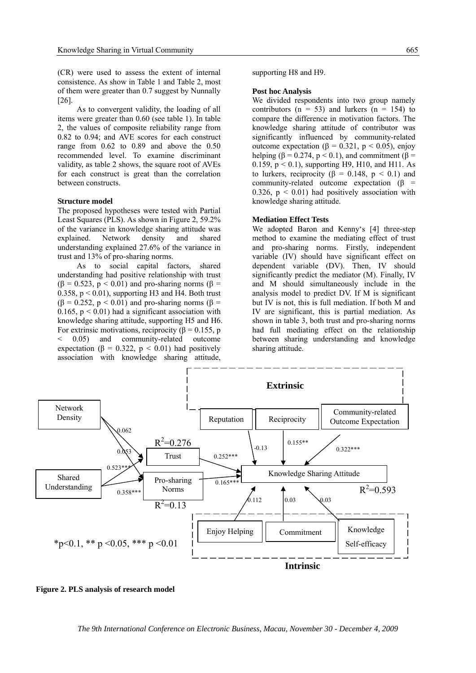(CR) were used to assess the extent of internal consistence. As show in Table 1 and Table 2, most of them were greater than 0.7 suggest by Nunnally [26].

As to convergent validity, the loading of all items were greater than 0.60 (see table 1). In table 2, the values of composite reliability range from 0.82 to 0.94; and AVE scores for each construct range from 0.62 to 0.89 and above the 0.50 recommended level. To examine discriminant validity, as table 2 shows, the square root of AVEs for each construct is great than the correlation between constructs.

#### **Structure model**

The proposed hypotheses were tested with Partial Least Squares (PLS). As shown in Figure 2, 59.2% of the variance in knowledge sharing attitude was explained. Network density and shared understanding explained 27.6% of the variance in trust and 13% of pro-sharing norms.

As to social capital factors, shared understanding had positive relationship with trust  $(\beta = 0.523, p < 0.01)$  and pro-sharing norms ( $\beta$  = 0.358,  $p < 0.01$ ), supporting H3 and H4. Both trust  $(\beta = 0.252, p \le 0.01)$  and pro-sharing norms  $(\beta = 0.252, p \le 0.01)$ 0.165,  $p \le 0.01$ ) had a significant association with knowledge sharing attitude, supporting H5 and H6. For extrinsic motivations, reciprocity ( $\beta$  = 0.155, p < 0.05) and community-related outcome expectation ( $\beta = 0.322$ ,  $p < 0.01$ ) had positively association with knowledge sharing attitude,

supporting H8 and H9.

#### **Post hoc Analysis**

We divided respondents into two group namely contributors ( $n = 53$ ) and lurkers ( $n = 154$ ) to compare the difference in motivation factors. The knowledge sharing attitude of contributor was significantly influenced by community-related outcome expectation (β = 0.321, p < 0.05), enjoy helping ( $\beta$  = 0.274,  $p$  < 0.1), and commitment ( $\beta$  = 0.159,  $p < 0.1$ ), supporting H9, H10, and H11. As to lurkers, reciprocity ( $\beta = 0.148$ ,  $p \le 0.1$ ) and community-related outcome expectation ( $\beta$  = 0.326,  $p < 0.01$ ) had positively association with knowledge sharing attitude.

#### **Mediation Effect Tests**

We adopted Baron and Kenny's [4] three-step method to examine the mediating effect of trust and pro-sharing norms. Firstly, independent variable (IV) should have significant effect on dependent variable (DV). Then, IV should significantly predict the mediator (M). Finally, IV and M should simultaneously include in the analysis model to predict DV. If M is significant but IV is not, this is full mediation. If both M and IV are significant, this is partial mediation. As shown in table 3, both trust and pro-sharing norms had full mediating effect on the relationship between sharing understanding and knowledge sharing attitude.



**Figure 2. PLS analysis of research model**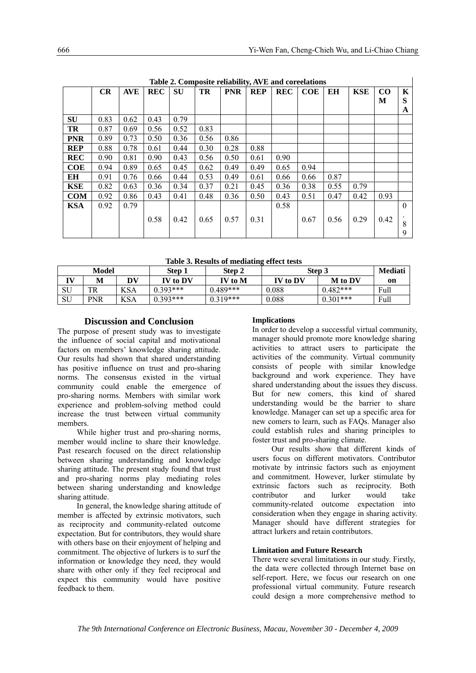| Table 2. Composite reliability, AVE and coreelations |      |            |            |           |      |            |            |            |            |      |            |      |          |
|------------------------------------------------------|------|------------|------------|-----------|------|------------|------------|------------|------------|------|------------|------|----------|
|                                                      | CR   | <b>AVE</b> | <b>REC</b> | <b>SU</b> | TR   | <b>PNR</b> | <b>REP</b> | <b>REC</b> | <b>COE</b> | EН   | <b>KSE</b> | CO   | K        |
|                                                      |      |            |            |           |      |            |            |            |            |      |            | M    | S        |
|                                                      |      |            |            |           |      |            |            |            |            |      |            |      | A        |
| <b>SU</b>                                            | 0.83 | 0.62       | 0.43       | 0.79      |      |            |            |            |            |      |            |      |          |
| <b>TR</b>                                            | 0.87 | 0.69       | 0.56       | 0.52      | 0.83 |            |            |            |            |      |            |      |          |
| <b>PNR</b>                                           | 0.89 | 0.73       | 0.50       | 0.36      | 0.56 | 0.86       |            |            |            |      |            |      |          |
| <b>REP</b>                                           | 0.88 | 0.78       | 0.61       | 0.44      | 0.30 | 0.28       | 0.88       |            |            |      |            |      |          |
| <b>REC</b>                                           | 0.90 | 0.81       | 0.90       | 0.43      | 0.56 | 0.50       | 0.61       | 0.90       |            |      |            |      |          |
| <b>COE</b>                                           | 0.94 | 0.89       | 0.65       | 0.45      | 0.62 | 0.49       | 0.49       | 0.65       | 0.94       |      |            |      |          |
| EН                                                   | 0.91 | 0.76       | 0.66       | 0.44      | 0.53 | 0.49       | 0.61       | 0.66       | 0.66       | 0.87 |            |      |          |
| <b>KSE</b>                                           | 0.82 | 0.63       | 0.36       | 0.34      | 0.37 | 0.21       | 0.45       | 0.36       | 0.38       | 0.55 | 0.79       |      |          |
| <b>COM</b>                                           | 0.92 | 0.86       | 0.43       | 0.41      | 0.48 | 0.36       | 0.50       | 0.43       | 0.51       | 0.47 | 0.42       | 0.93 |          |
| <b>KSA</b>                                           | 0.92 | 0.79       |            |           |      |            |            | 0.58       |            |      |            |      | $\Omega$ |
|                                                      |      |            | 0.58       | 0.42      | 0.65 | 0.57       | 0.31       |            | 0.67       | 0.56 | 0.29       | 0.42 |          |
|                                                      |      |            |            |           |      |            |            |            |            |      |            |      | 8        |
|                                                      |      |            |            |           |      |            |            |            |            |      |            |      | 9        |

**Table 2. Composite reliability, AVE and coreelations** 

**Table 3. Results of mediating effect tests** 

| Model |            | Step 1     | Step 2     | Step 3     | Mediati  |                |      |
|-------|------------|------------|------------|------------|----------|----------------|------|
| TVI   | М          | DV         | IV to DV   | IV to M    | IV to DV | <b>M</b> to DV | on   |
| SU    | TR         | <b>KSA</b> | $0.393***$ | 0.489***   | 0.088    | $0.482***$     | Full |
| SU    | <b>PNR</b> | <b>KSA</b> | $0.393***$ | $0.319***$ | 0.088    | $0.301***$     | Full |

### **Discussion and Conclusion**

The purpose of present study was to investigate the influence of social capital and motivational factors on members' knowledge sharing attitude. Our results had shown that shared understanding has positive influence on trust and pro-sharing norms. The consensus existed in the virtual community could enable the emergence of pro-sharing norms. Members with similar work experience and problem-solving method could increase the trust between virtual community members.

While higher trust and pro-sharing norms, member would incline to share their knowledge. Past research focused on the direct relationship between sharing understanding and knowledge sharing attitude. The present study found that trust and pro-sharing norms play mediating roles between sharing understanding and knowledge sharing attitude.

In general, the knowledge sharing attitude of member is affected by extrinsic motivators, such as reciprocity and community-related outcome expectation. But for contributors, they would share with others base on their enjoyment of helping and commitment. The objective of lurkers is to surf the information or knowledge they need, they would share with other only if they feel reciprocal and expect this community would have positive feedback to them.

#### **Implications**

In order to develop a successful virtual community, manager should promote more knowledge sharing activities to attract users to participate the activities of the community. Virtual community consists of people with similar knowledge background and work experience. They have shared understanding about the issues they discuss. But for new comers, this kind of shared understanding would be the barrier to share knowledge. Manager can set up a specific area for new comers to learn, such as FAQs. Manager also could establish rules and sharing principles to foster trust and pro-sharing climate.

Our results show that different kinds of users focus on different motivators. Contributor motivate by intrinsic factors such as enjoyment and commitment. However, lurker stimulate by extrinsic factors such as reciprocity. Both contributor and lurker would take community-related outcome expectation into consideration when they engage in sharing activity. Manager should have different strategies for attract lurkers and retain contributors.

#### **Limitation and Future Research**

There were several limitations in our study. Firstly, the data were collected through Internet base on self-report. Here, we focus our research on one professional virtual community. Future research could design a more comprehensive method to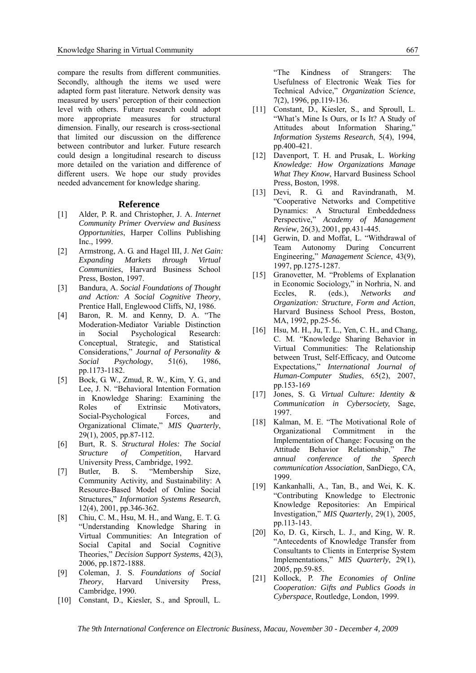compare the results from different communities. Secondly, although the items we used were adapted form past literature. Network density was measured by users' perception of their connection level with others. Future research could adopt more appropriate measures for structural dimension. Finally, our research is cross-sectional that limited our discussion on the difference between contributor and lurker. Future research could design a longitudinal research to discuss more detailed on the variation and difference of different users. We hope our study provides needed advancement for knowledge sharing.

#### **Reference**

- [1] Alder, P. R. and Christopher, J. A. *Internet Community Primer Overview and Business Opportunities*, Harper Collins Publishing Inc., 1999.
- [2] Armstrong, A. G. and Hagel III, J. *Net Gain: Expanding Markets through Virtual Communities*, Harvard Business School Press, Boston, 1997.
- [3] Bandura, A. *Social Foundations of Thought and Action: A Social Cognitive Theory*, Prentice Hall, Englewood Cliffs, NJ, 1986.
- [4] Baron, R. M. and Kenny, D. A. "The Moderation-Mediator Variable Distinction in Social Psychological Research: Conceptual, Strategic, and Statistical Considerations," *Journal of Personality & Social Psychology*, 51(6), 1986, pp.1173-1182.
- [5] Bock, G. W., Zmud, R. W., Kim, Y. G., and Lee, J. N. "Behavioral Intention Formation in Knowledge Sharing: Examining the Roles of Extrinsic Motivators, Social-Psychological Forces, and Organizational Climate," *MIS Quarterly*, 29(1), 2005, pp.87-112.
- [6] Burt, R. S. *Structural Holes: The Social Structure of Competition*, Harvard University Press, Cambridge, 1992.
- [7] Butler, B. S. "Membership Size, Community Activity, and Sustainability: A Resource-Based Model of Online Social Structures," *Information Systems Research*, 12(4), 2001, pp.346-362.
- [8] Chiu, C. M., Hsu, M. H., and Wang, E. T. G. "Understanding Knowledge Sharing in Virtual Communities: An Integration of Social Capital and Social Cognitive Theories," *Decision Support Systems*, 42(3), 2006, pp.1872-1888.
- [9] Coleman, J. S. *Foundations of Social Theory*, Harvard University Press, Cambridge, 1990.
- [10] Constant, D., Kiesler, S., and Sproull, L.

"The Kindness of Strangers: The Usefulness of Electronic Weak Ties for Technical Advice," *Organization Science*, 7(2), 1996, pp.119-136.

- [11] Constant, D., Kiesler, S., and Sproull, L. "What's Mine Is Ours, or Is It? A Study of Attitudes about Information Sharing," *Information Systems Research*, 5(4), 1994, pp. 400-421.
- [12] Davenport, T. H. and Prusak, L. *Working Knowledge: How Organizations Manage What They Know*, Harvard Business School Press, Boston, 1998.
- [13] Devi, R. G. and Ravindranath, M. "Cooperative Networks and Competitive Dynamics: A Structural Embeddedness Perspective," *Academy of Management Review*, 26(3), 2001, pp.431-445.
- [14] Gerwin, D. and Moffat, L. "Withdrawal of Team Autonomy During Concurrent Engineering," *Management Science*, 43(9), 1997, pp.1275-1287.
- [15] Granovetter, M. "Problems of Explanation in Economic Sociology," in Norhria, N. and Eccles, R. (eds.), *Networks and Organization: Structure, Form and Action*, Harvard Business School Press, Boston, MA, 1992, pp.25-56.
- [16] Hsu, M. H., Ju, T. L., Yen, C. H., and Chang, C. M. "Knowledge Sharing Behavior in Virtual Communities: The Relationship between Trust, Self-Efficacy, and Outcome Expectations," *International Journal of Human-Computer Studies*, 65(2), 2007, pp.153-169
- [17] Jones, S. G. *Virtual Culture: Identity & Communication in Cybersociety,* Sage, 1997.
- [18] Kalman, M. E. "The Motivational Role of Organizational Commitment in the Implementation of Change: Focusing on the Attitude Behavior Relationship," *The annual conference of the Speech communication Association*, SanDiego, CA, 1999.
- [19] Kankanhalli, A., Tan, B., and Wei, K. K. "Contributing Knowledge to Electronic Knowledge Repositories: An Empirical Investigation," *MIS Quarterly*, 29(1), 2005, pp.113-143.
- [20] Ko, D. G., Kirsch, L. J., and King, W. R. "Antecedents of Knowledge Transfer from Consultants to Clients in Enterprise System Implementations," *MIS Quarterly*, 29(1), 2005, pp.59-85.
- [21] Kollock, P. *The Economies of Online Cooperation: Gifts and Publics Goods in Cyberspace*, Routledge, London, 1999.